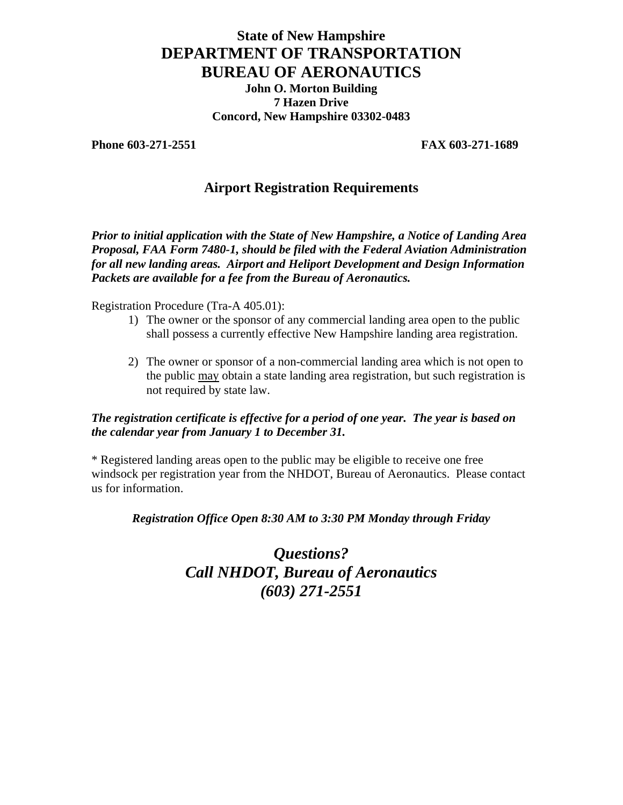# **State of New Hampshire DEPARTMENT OF TRANSPORTATION BUREAU OF AERONAUTICS John O. Morton Building 7 Hazen Drive Concord, New Hampshire 03302-0483**

**Phone 603-271-2551** FAX 603-271-1689

## **Airport Registration Requirements**

*Prior to initial application with the State of New Hampshire, a Notice of Landing Area Proposal, FAA Form 7480-1, should be filed with the Federal Aviation Administration for all new landing areas. Airport and Heliport Development and Design Information Packets are available for a fee from the Bureau of Aeronautics.* 

Registration Procedure (Tra-A 405.01):

- 1) The owner or the sponsor of any commercial landing area open to the public shall possess a currently effective New Hampshire landing area registration.
- 2) The owner or sponsor of a non-commercial landing area which is not open to the public may obtain a state landing area registration, but such registration is not required by state law.

### *The registration certificate is effective for a period of one year. The year is based on the calendar year from January 1 to December 31.*

\* Registered landing areas open to the public may be eligible to receive one free windsock per registration year from the NHDOT, Bureau of Aeronautics. Please contact us for information.

#### *Registration Office Open 8:30 AM to 3:30 PM Monday through Friday*

*Questions? Call NHDOT, Bureau of Aeronautics (603) 271-2551*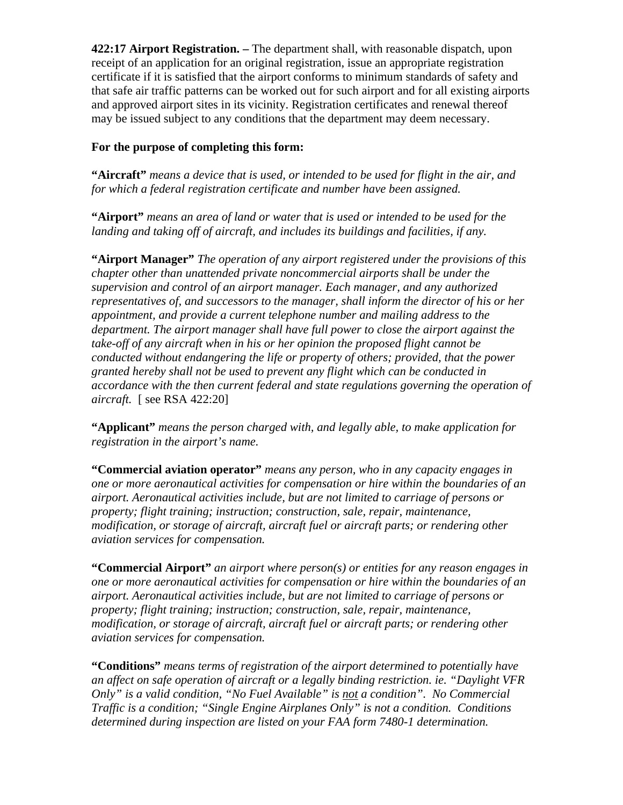**422:17 Airport Registration. –** The department shall, with reasonable dispatch, upon receipt of an application for an original registration, issue an appropriate registration certificate if it is satisfied that the airport conforms to minimum standards of safety and that safe air traffic patterns can be worked out for such airport and for all existing airports and approved airport sites in its vicinity. Registration certificates and renewal thereof may be issued subject to any conditions that the department may deem necessary.

## **For the purpose of completing this form:**

**"Aircraft"** *means a device that is used, or intended to be used for flight in the air, and for which a federal registration certificate and number have been assigned.* 

**"Airport"** *means an area of land or water that is used or intended to be used for the landing and taking off of aircraft, and includes its buildings and facilities, if any.* 

**"Airport Manager"** *The operation of any airport registered under the provisions of this chapter other than unattended private noncommercial airports shall be under the supervision and control of an airport manager. Each manager, and any authorized representatives of, and successors to the manager, shall inform the director of his or her appointment, and provide a current telephone number and mailing address to the department. The airport manager shall have full power to close the airport against the take-off of any aircraft when in his or her opinion the proposed flight cannot be conducted without endangering the life or property of others; provided, that the power granted hereby shall not be used to prevent any flight which can be conducted in accordance with the then current federal and state regulations governing the operation of aircraft.* [ see RSA 422:20]

**"Applicant"** *means the person charged with, and legally able, to make application for registration in the airport's name.* 

**"Commercial aviation operator"** *means any person, who in any capacity engages in one or more aeronautical activities for compensation or hire within the boundaries of an airport. Aeronautical activities include, but are not limited to carriage of persons or property; flight training; instruction; construction, sale, repair, maintenance, modification, or storage of aircraft, aircraft fuel or aircraft parts; or rendering other aviation services for compensation.* 

**"Commercial Airport"** *an airport where person(s) or entities for any reason engages in one or more aeronautical activities for compensation or hire within the boundaries of an airport. Aeronautical activities include, but are not limited to carriage of persons or property; flight training; instruction; construction, sale, repair, maintenance, modification, or storage of aircraft, aircraft fuel or aircraft parts; or rendering other aviation services for compensation.* 

**"Conditions"** *means terms of registration of the airport determined to potentially have an affect on safe operation of aircraft or a legally binding restriction. ie. "Daylight VFR Only" is a valid condition, "No Fuel Available" is not a condition". No Commercial Traffic is a condition; "Single Engine Airplanes Only" is not a condition. Conditions determined during inspection are listed on your FAA form 7480-1 determination.*